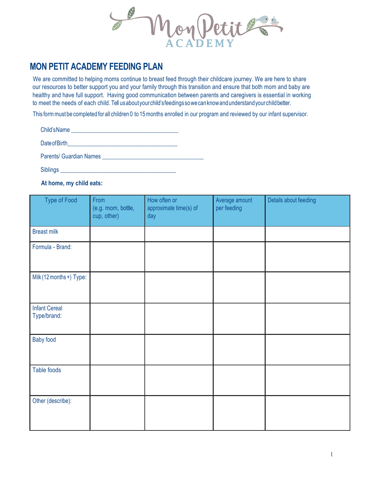non

## **MON PETIT ACADEMY FEEDING PLAN**

 We are committed to helping moms continue to breast feed through their childcare journey. We are here to share our resources to better support you and your family through this transition and ensure that both mom and baby are healthy and have full support. Having good communication between parents and caregivers is essential in working to meet the needs of each child. Tell usaboutyourchild'sfeedingssowecanknowandunderstandyourchildbetter.

This formmust be completed for all children 0 to 15months enrolled in our program and reviewed by our infant supervisor.

| Child's Name                       |  |
|------------------------------------|--|
| Date of Birth <b>Exercise 2018</b> |  |
| <b>Parents/ Guardian Names</b>     |  |
|                                    |  |

Siblings

## **At home, my child eats:**

| <b>Type of Food</b>                 | From<br>(e.g. mom, bottle,<br>cup, other) | How often or<br>approximate time(s) of<br>day | Average amount<br>per feeding | Details about feeding |
|-------------------------------------|-------------------------------------------|-----------------------------------------------|-------------------------------|-----------------------|
| <b>Breast milk</b>                  |                                           |                                               |                               |                       |
| Formula - Brand:                    |                                           |                                               |                               |                       |
| Milk (12 months +) Type:            |                                           |                                               |                               |                       |
| <b>Infant Cereal</b><br>Type/brand: |                                           |                                               |                               |                       |
| <b>Baby food</b>                    |                                           |                                               |                               |                       |
| Table foods                         |                                           |                                               |                               |                       |
| Other (describe):                   |                                           |                                               |                               |                       |